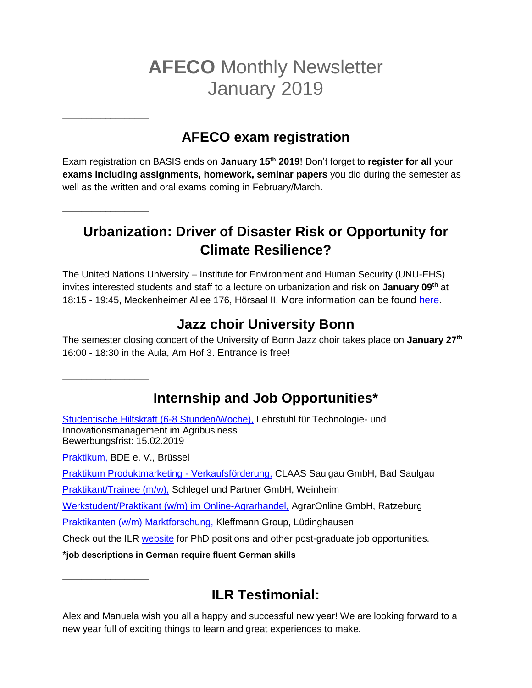# **AFECO** Monthly Newsletter January 2019

## **AFECO exam registration**

Exam registration on BASIS ends on **January 15th 2019**! Don't forget to **register for all** your **exams including assignments, homework, seminar papers** you did during the semester as well as the written and oral exams coming in February/March.

## **Urbanization: Driver of Disaster Risk or Opportunity for Climate Resilience?**

The United Nations University – Institute for Environment and Human Security (UNU-EHS) invites interested students and staff to a lecture on urbanization and risk on **January 09th** at 18:15 - 19:45, Meckenheimer Allee 176, Hörsaal II. More information can be found [here.](https://www.uni-bonn.de/veranstaltungen/public-1541585300.8)

### **Jazz choir University Bonn**

The semester closing concert of the University of Bonn Jazz choir takes place on **January 27th** 16:00 - 18:30 in the Aula, Am Hof 3. Entrance is free!

## **Internship and Job Opportunities\***

[Studentische Hilfskraft \(6-8 Stunden/Woche\),](http://www.ilr.uni-bonn.de/central/TIM-Lehrstuhl_Ausschreibung_Hiwis_2019.pdf) Lehrstuhl für Technologie- und Innovationsmanagement im Agribusiness Bewerbungsfrist: 15.02.2019 [Praktikum,](https://bde.de/verband/karriere/arbeiten-beim-bde-in-bruessel/praktikum/) BDE e. V., Brüssel

[Praktikum Produktmarketing -](https://recruiting.claas.com/sap(bD1kZSZjPTAwMQ==)/bc/bsp/kwp/bsp_eui_rd_uc/main.do?action=to_job_details&back=&pinst_guid=5C1697BA70F109E0E1008000AC160A54#jobdetails) Verkaufsförderung, CLAAS Saulgau GmbH, Bad Saulgau

**\_\_\_\_\_\_\_\_\_\_\_\_\_\_\_\_\_\_**

**\_\_\_\_\_\_\_\_\_\_\_\_\_\_\_\_\_\_**

**\_\_\_\_\_\_\_\_\_\_\_\_\_\_\_\_\_\_**

**\_\_\_\_\_\_\_\_\_\_\_\_\_\_\_\_\_\_**

[Praktikant/Trainee \(m/w\),](https://www.schlegelundpartner.com/de/career/vacancies/intern_trainee/) Schlegel und Partner GmbH, Weinheim

[Werkstudent/Praktikant \(w/m\) im Online-Agrarhandel,](https://www.myagrar.de/out/pictures/ddmedia/myA_Werkstudent_15.05.pdf) AgrarOnline GmbH, Ratzeburg

[Praktikanten \(w/m\) Marktforschung,](https://www.kleffmann.com/download-file?file_id=1262&file_code=0a31cf50e1) Kleffmann Group, Lüdinghausen

Check out the ILR [website](http://www.ilr.uni-bonn.de/central/jobs_d.htm) for PhD positions and other post-graduate job opportunities.

\***job descriptions in German require fluent German skills**

## **ILR Testimonial:**

Alex and Manuela wish you all a happy and successful new year! We are looking forward to a new year full of exciting things to learn and great experiences to make.